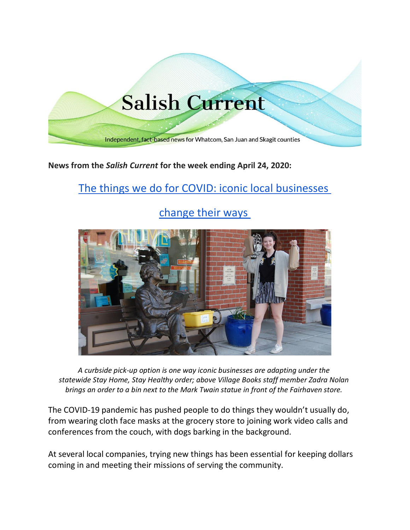

**News from the** *Salish Current* **for the week ending April 24, 2020:**

# [The things we do for COVID: iconic local businesses](https://salish-current.org/2020/04/21/the-things-we-do-for-covid-iconic-local-businesses-change-their-ways/)

## [change their ways](https://salish-current.org/2020/04/21/the-things-we-do-for-covid-iconic-local-businesses-change-their-ways/)



*A curbside pick-up option is one way iconic businesses are adapting under the statewide Stay Home, Stay Healthy order; above Village Books staff member Zadra Nolan brings an order to a bin next to the Mark Twain statue in front of the Fairhaven store.*

The COVID-19 pandemic has pushed people to do things they wouldn't usually do, from wearing cloth face masks at the grocery store to joining work video calls and conferences from the couch, with dogs barking in the background.

At several local companies, trying new things has been essential for keeping dollars coming in and meeting their missions of serving the community.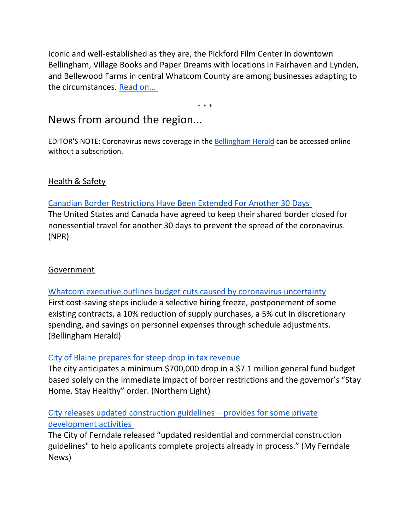Iconic and well-established as they are, the Pickford Film Center in downtown Bellingham, Village Books and Paper Dreams with locations in Fairhaven and Lynden, and Bellewood Farms in central Whatcom County are among businesses adapting to the circumstances. [Read on...](https://salish-current.org/2020/04/21/the-things-we-do-for-covid-iconic-local-businesses-change-their-ways/)

\* \* \*

## News from around the region...

EDITOR'S NOTE: Coronavirus news coverage in the [Bellingham Herald](https://www.bellinghamherald.com/) can be accessed online without a subscription.

## Health & Safety

## [Canadian Border Restrictions Have Been Extended For Another 30 Days](https://www.npr.org/sections/coronavirus-live-updates/2020/04/18/837160928/canadian-border-restrictions-have-been-extended-for-another-30-days)

The United States and Canada have agreed to keep their shared border closed for nonessential travel for another 30 days to prevent the spread of the coronavirus. (NPR)

## **Government**

[Whatcom executive outlines budget cuts caused by coronavirus uncertainty](https://www.bellinghamherald.com/news/coronavirus/article242189751.html) First cost-saving steps include a selective hiring freeze, postponement of some existing contracts, a 10% reduction of supply purchases, a 5% cut in discretionary spending, and savings on personnel expenses through schedule adjustments. (Bellingham Herald)

## [City of Blaine prepares for steep drop in tax revenue](https://www.thenorthernlight.com/stories/city-of-blaine-prepares-for-steep-drop-in-tax-revenue,10328?)

The city anticipates a minimum \$700,000 drop in a \$7.1 million general fund budget based solely on the immediate impact of border restrictions and the governor's "Stay Home, Stay Healthy" order. (Northern Light)

## [City releases updated construction guidelines](https://myferndalenews.com/city-releases-updated-construction-guidelines-provides-for-some-private-development-activities_102259/) – provides for some private [development activities](https://myferndalenews.com/city-releases-updated-construction-guidelines-provides-for-some-private-development-activities_102259/)

The City of Ferndale released "updated residential and commercial construction guidelines" to help applicants complete projects already in process." (My Ferndale News)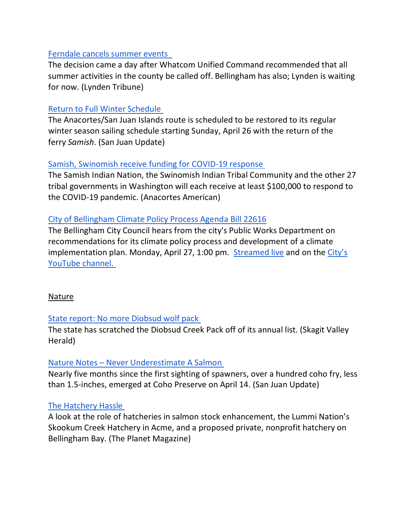#### [Ferndale cancels summer events](https://www.lyndentribune.com/news/ferndale-cancels-summer-events/article_91aec1aa-842e-11ea-97ae-e7e1ad0250ba.html)

The decision came a day after Whatcom Unified Command recommended that all summer activities in the county be called off. Bellingham has also; Lynden is waiting for now. (Lynden Tribune)

#### [Return to Full Winter Schedule](https://sanjuanupdate.com/2020/04/return-to-full-winter-schedule/)

The Anacortes/San Juan Islands route is scheduled to be restored to its regular winter season sailing schedule starting Sunday, April 26 with the return of the ferry *Samish*. (San Juan Update)

### [Samish, Swinomish receive funding for COVID-19 response](https://www.goskagit.com/anacortes/coronavirus/samish-swinomish-receive-funding-for-covid-19-response/article_da822242-8496-11ea-ba6d-47b1f1274c9d.html)

The Samish Indian Nation, the Swinomish Indian Tribal Community and the other 27 tribal governments in Washington will each receive at least \$100,000 to respond to the COVID-19 pandemic. (Anacortes American)

### [City of Bellingham Climate Policy Process Agenda Bill 22616](https://meetings.cob.org/Documents/ViewDocument/Committee_of_the_Whole_2213_Agenda_Packet_4_27_2020_1_00_00_PM.pdf?meetingId=2213&documentType=AgendaPacket&itemId=0&publishId=0&isSection=false)

The Bellingham City Council hears from the city's Public Works Department on recommendations for its climate policy process and development of a climate implementation plan. Monday, April 27, 1:00 pm. [Streamed live](http://meetings.cob.org/) and on the City's [YouTube channel.](https://www.youtube.com/user/cityofbhamwa/live)

#### Nature

#### [State report: No more Diobsud wolf pack](https://www.goskagit.com/news/environment/state-report-no-more-diobsud-wolf-pack/article_2961e380-b2bf-5f53-a329-485940cbf6c0.html)

The state has scratched the Diobsud Creek Pack off of its annual list. (Skagit Valley Herald)

#### Nature Notes – [Never Underestimate A Salmon](https://sanjuanupdate.com/2020/04/nature-notes-never-underestimate-a-salmon/)

Nearly five months since the first sighting of spawners, over a hundred coho fry, less than 1.5-inches, emerged at Coho Preserve on April 14. (San Juan Update)

## [The Hatchery Hassle](https://theplanetmagazine.net/the-hatchery-hassle-befd06cc2d3c)

A look at the role of hatcheries in salmon stock enhancement, the Lummi Nation's Skookum Creek Hatchery in Acme, and a proposed private, nonprofit hatchery on Bellingham Bay. (The Planet Magazine)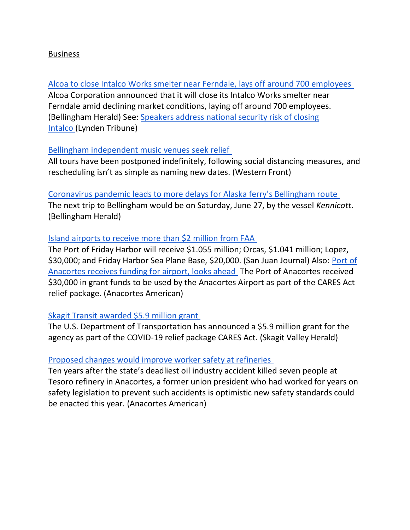#### Business

[Alcoa to close Intalco Works smelter near Ferndale, lays off around 700 employees](https://www.bellinghamherald.com/news/business/article242210711.html) Alcoa Corporation announced that it will close its Intalco Works smelter near Ferndale amid declining market conditions, laying off around 700 employees. (Bellingham Herald) See: [Speakers address national security risk of closing](https://www.lyndentribune.com/community/speakers-address-national-security-risk-of-closing-intalco/article_9a772864-85b8-11ea-8bba-1bcd09498043.html)  [Intalco](https://www.lyndentribune.com/community/speakers-address-national-security-risk-of-closing-intalco/article_9a772864-85b8-11ea-8bba-1bcd09498043.html) (Lynden Tribune)

#### [Bellingham independent music venues seek relief](https://www.westernfrontonline.com/2020/04/22/bellingham-independent-music-venues-seek-relief/)

All tours have been postponed indefinitely, following social distancing measures, and rescheduling isn't as simple as naming new dates. (Western Front)

[Coronavirus pandemic leads to more delays for Alaska ferry's Bellingham route](https://www.bellinghamherald.com/news/coronavirus/article242088386.html)

The next trip to Bellingham would be on Saturday, June 27, by the vessel *Kennicott*. (Bellingham Herald)

#### [Island airports to receive more than \\$2 million from FAA](https://www.sanjuanjournal.com/news/island-airports-to-receive-more-than-2-million-from-faa/)

The Port of Friday Harbor will receive \$1.055 million; Orcas, \$1.041 million; Lopez, \$30,000; and Friday Harbor Sea Plane Base, \$20,000. (San Juan Journal) Also: [Port of](https://www.goskagit.com/anacortes/port-of-anacortes-receives-funding-for-airport-looks-ahead/article_fc92991c-841d-11ea-af6f-3b8a0bc0b649.html)  [Anacortes receives funding for airport, looks ahead](https://www.goskagit.com/anacortes/port-of-anacortes-receives-funding-for-airport-looks-ahead/article_fc92991c-841d-11ea-af6f-3b8a0bc0b649.html) The Port of Anacortes received \$30,000 in grant funds to be used by the Anacortes Airport as part of the CARES Act relief package. (Anacortes American)

#### [Skagit Transit awarded \\$5.9 million grant](https://www.goskagit.com/news/local_news/skagit-transit-awarded-5-9-million-grant/article_cee0f618-6a12-562b-aeb8-0d5e7aaa524b.html?utm_medium=social&utm_source=email&utm_campaign=user-share)

The U.S. Department of Transportation has announced a \$5.9 million grant for the agency as part of the COVID-19 relief package CARES Act. (Skagit Valley Herald)

#### [Proposed changes would improve worker safety at refineries](https://www.goskagit.com/anacortes/news/proposed-changes-would-improve-worker-safety-at-refineries/article_bd8f96e2-8568-11ea-8ef3-e3cc4c162839.html)

Ten years after the state's deadliest oil industry accident killed seven people at Tesoro refinery in Anacortes, a former union president who had worked for years on safety legislation to prevent such accidents is optimistic new safety standards could be enacted this year. (Anacortes American)